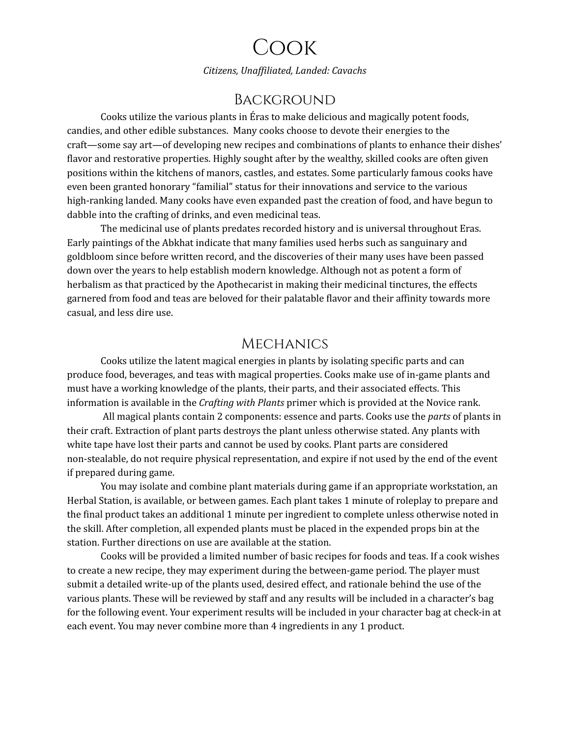# Cook

*Citizens, Unaf iliated, Landed: Cavachs*

## **BACKGROUND**

Cooks utilize the various plants in Éras to make delicious and magically potent foods, candies, and other edible substances. Many cooks choose to devote their energies to the craft—some say art—of developing new recipes and combinations of plants to enhance their dishes' flavor and restorative properties. Highly sought after by the wealthy, skilled cooks are often given positions within the kitchens of manors, castles, and estates. Some particularly famous cooks have even been granted honorary "familial" status for their innovations and service to the various high-ranking landed. Many cooks have even expanded past the creation of food, and have begun to dabble into the crafting of drinks, and even medicinal teas.

The medicinal use of plants predates recorded history and is universal throughout Eras. Early paintings of the Abkhat indicate that many families used herbs such as sanguinary and goldbloom since before written record, and the discoveries of their many uses have been passed down over the years to help establish modern knowledge. Although not as potent a form of herbalism as that practiced by the Apothecarist in making their medicinal tinctures, the effects garnered from food and teas are beloved for their palatable flavor and their affinity towards more casual, and less dire use.

#### **MECHANICS**

Cooks utilize the latent magical energies in plants by isolating specific parts and can produce food, beverages, and teas with magical properties. Cooks make use of in-game plants and must have a working knowledge of the plants, their parts, and their associated effects. This information is available in the *Crafting with Plants* primer which is provided at the Novice rank.

All magical plants contain 2 components: essence and parts. Cooks use the *parts* of plants in their craft. Extraction of plant parts destroys the plant unless otherwise stated. Any plants with white tape have lost their parts and cannot be used by cooks. Plant parts are considered non-stealable, do not require physical representation, and expire if not used by the end of the event if prepared during game.

You may isolate and combine plant materials during game if an appropriate workstation, an Herbal Station, is available, or between games. Each plant takes 1 minute of roleplay to prepare and the final product takes an additional 1 minute per ingredient to complete unless otherwise noted in the skill. After completion, all expended plants must be placed in the expended props bin at the station. Further directions on use are available at the station.

Cooks will be provided a limited number of basic recipes for foods and teas. If a cook wishes to create a new recipe, they may experiment during the between-game period. The player must submit a detailed write-up of the plants used, desired effect, and rationale behind the use of the various plants. These will be reviewed by staff and any results will be included in a character's bag for the following event. Your experiment results will be included in your character bag at check-in at each event. You may never combine more than 4 ingredients in any 1 product.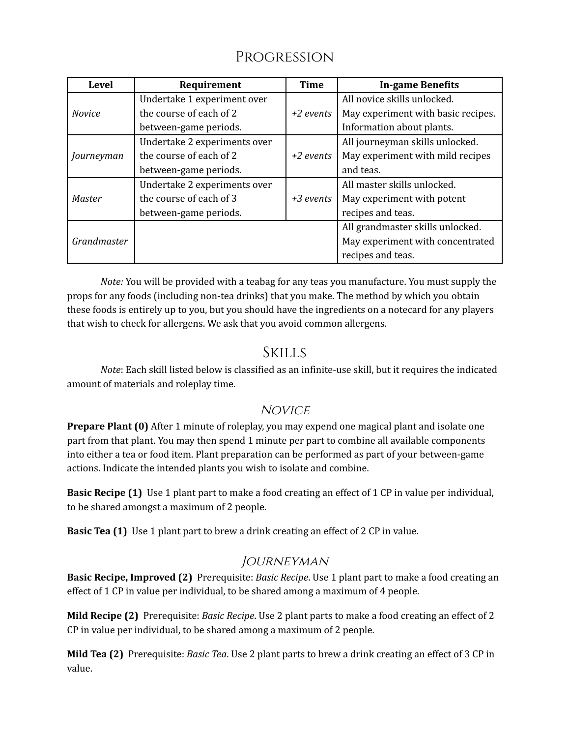## Progression

| <b>Level</b>  | Requirement                  | <b>Time</b> | <b>In-game Benefits</b>            |
|---------------|------------------------------|-------------|------------------------------------|
| <b>Novice</b> | Undertake 1 experiment over  |             | All novice skills unlocked.        |
|               | the course of each of 2      | $+2$ events | May experiment with basic recipes. |
|               | between-game periods.        |             | Information about plants.          |
| Journeyman    | Undertake 2 experiments over |             | All journeyman skills unlocked.    |
|               | the course of each of 2      | $+2$ events | May experiment with mild recipes   |
|               | between-game periods.        |             | and teas.                          |
| <b>Master</b> | Undertake 2 experiments over |             | All master skills unlocked.        |
|               | the course of each of 3      | $+3$ events | May experiment with potent         |
|               | between-game periods.        |             | recipes and teas.                  |
| Grandmaster   |                              |             | All grandmaster skills unlocked.   |
|               |                              |             | May experiment with concentrated   |
|               |                              |             | recipes and teas.                  |

*Note:* You will be provided with a teabag for any teas you manufacture. You must supply the props for any foods (including non-tea drinks) that you make. The method by which you obtain these foods is entirely up to you, but you should have the ingredients on a notecard for any players that wish to check for allergens. We ask that you avoid common allergens.

## **SKILLS**

*Note*: Each skill listed below is classified as an infinite-use skill, but it requires the indicated amount of materials and roleplay time.

## **NOVICE**

**Prepare Plant (0)** After 1 minute of roleplay, you may expend one magical plant and isolate one part from that plant. You may then spend 1 minute per part to combine all available components into either a tea or food item. Plant preparation can be performed as part of your between-game actions. Indicate the intended plants you wish to isolate and combine.

**Basic Recipe (1)** Use 1 plant part to make a food creating an effect of 1 CP in value per individual, to be shared amongst a maximum of 2 people.

**Basic Tea (1)** Use 1 plant part to brew a drink creating an effect of 2 CP in value.

## **JOURNEYMAN**

**Basic Recipe, Improved (2)** Prerequisite: *Basic Recipe*. Use 1 plant part to make a food creating an effect of 1 CP in value per individual, to be shared among a maximum of 4 people.

**Mild Recipe (2)** Prerequisite: *Basic Recipe*. Use 2 plant parts to make a food creating an effect of 2 CP in value per individual, to be shared among a maximum of 2 people.

**Mild Tea (2)** Prerequisite: *Basic Tea*. Use 2 plant parts to brew a drink creating an effect of 3 CP in value.